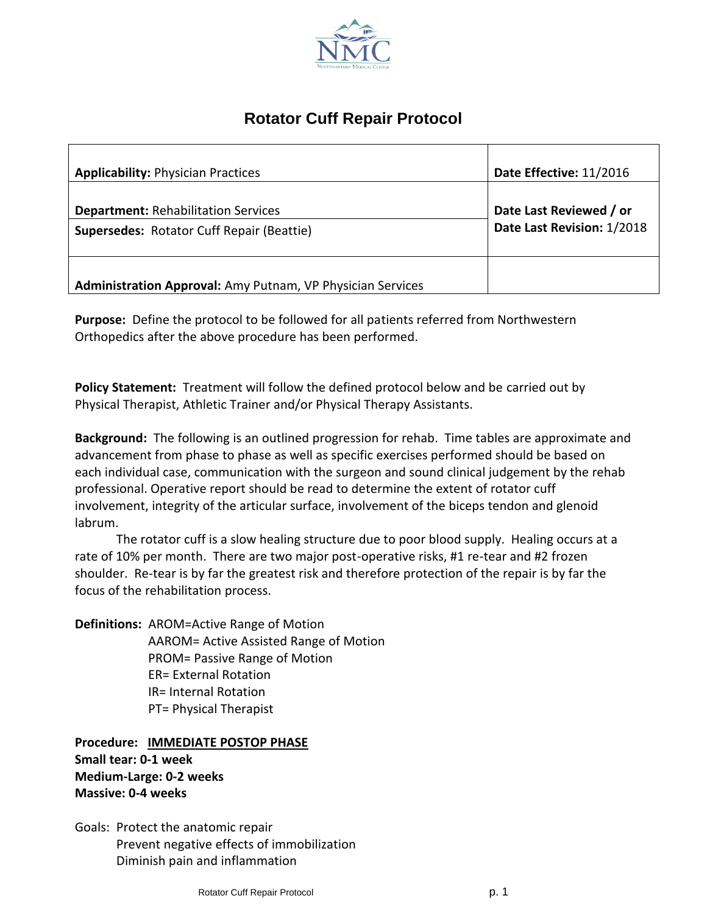

# **Rotator Cuff Repair Protocol**

| <b>Applicability: Physician Practices</b>                                                      | Date Effective: 11/2016                               |
|------------------------------------------------------------------------------------------------|-------------------------------------------------------|
| <b>Department: Rehabilitation Services</b><br><b>Supersedes: Rotator Cuff Repair (Beattie)</b> | Date Last Reviewed / or<br>Date Last Revision: 1/2018 |
| <b>Administration Approval:</b> Amy Putnam, VP Physician Services                              |                                                       |

**Purpose:** Define the protocol to be followed for all patients referred from Northwestern Orthopedics after the above procedure has been performed.

**Policy Statement:** Treatment will follow the defined protocol below and be carried out by Physical Therapist, Athletic Trainer and/or Physical Therapy Assistants.

**Background:** The following is an outlined progression for rehab. Time tables are approximate and advancement from phase to phase as well as specific exercises performed should be based on each individual case, communication with the surgeon and sound clinical judgement by the rehab professional. Operative report should be read to determine the extent of rotator cuff involvement, integrity of the articular surface, involvement of the biceps tendon and glenoid labrum.

The rotator cuff is a slow healing structure due to poor blood supply. Healing occurs at a rate of 10% per month. There are two major post-operative risks, #1 re-tear and #2 frozen shoulder. Re-tear is by far the greatest risk and therefore protection of the repair is by far the focus of the rehabilitation process.

**Definitions:** AROM=Active Range of Motion AAROM= Active Assisted Range of Motion PROM= Passive Range of Motion ER= External Rotation IR= Internal Rotation PT= Physical Therapist

**Procedure: IMMEDIATE POSTOP PHASE Small tear: 0-1 week Medium-Large: 0-2 weeks Massive: 0-4 weeks**

Goals: Protect the anatomic repair Prevent negative effects of immobilization Diminish pain and inflammation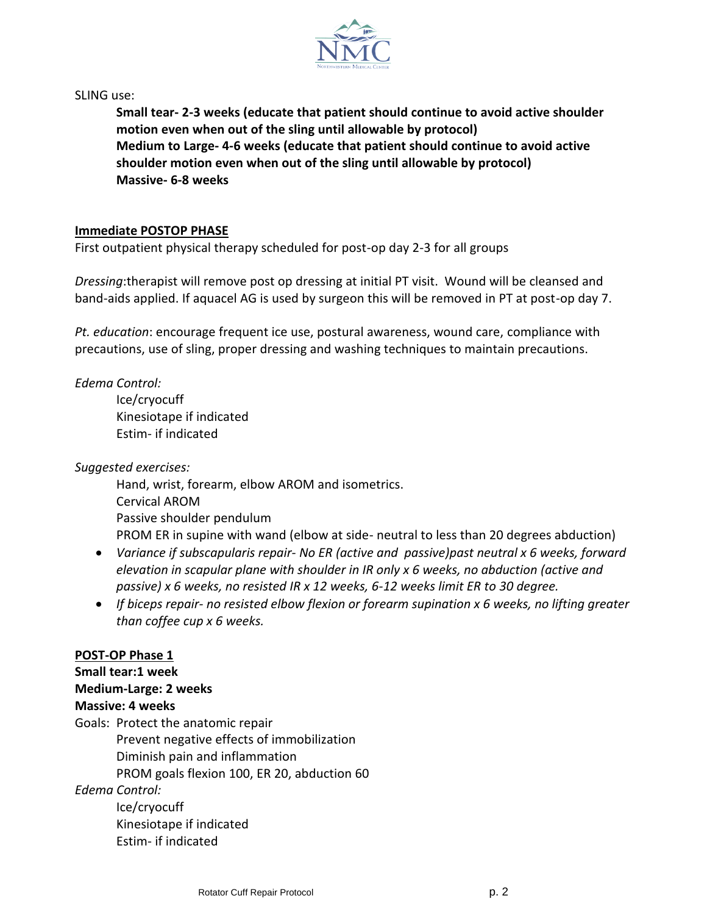

SLING use:

**Small tear- 2-3 weeks (educate that patient should continue to avoid active shoulder motion even when out of the sling until allowable by protocol) Medium to Large- 4-6 weeks (educate that patient should continue to avoid active shoulder motion even when out of the sling until allowable by protocol) Massive- 6-8 weeks**

#### **Immediate POSTOP PHASE**

First outpatient physical therapy scheduled for post-op day 2-3 for all groups

*Dressing*:therapist will remove post op dressing at initial PT visit. Wound will be cleansed and band-aids applied. If aquacel AG is used by surgeon this will be removed in PT at post-op day 7.

*Pt. education*: encourage frequent ice use, postural awareness, wound care, compliance with precautions, use of sling, proper dressing and washing techniques to maintain precautions.

*Edema Control:*

Ice/cryocuff Kinesiotape if indicated Estim- if indicated

*Suggested exercises:*

Hand, wrist, forearm, elbow AROM and isometrics. Cervical AROM Passive shoulder pendulum PROM ER in supine with wand (elbow at side- neutral to less than 20 degrees abduction)

- *Variance if subscapularis repair- No ER (active and passive)past neutral x 6 weeks, forward elevation in scapular plane with shoulder in IR only x 6 weeks, no abduction (active and passive) x 6 weeks, no resisted IR x 12 weeks, 6-12 weeks limit ER to 30 degree.*
- *If biceps repair- no resisted elbow flexion or forearm supination x 6 weeks, no lifting greater than coffee cup x 6 weeks.*

## **POST-OP Phase 1**

## **Small tear:1 week Medium-Large: 2 weeks Massive: 4 weeks** Goals: Protect the anatomic repair Prevent negative effects of immobilization Diminish pain and inflammation PROM goals flexion 100, ER 20, abduction 60 *Edema Control:* Ice/cryocuff Kinesiotape if indicated

Estim- if indicated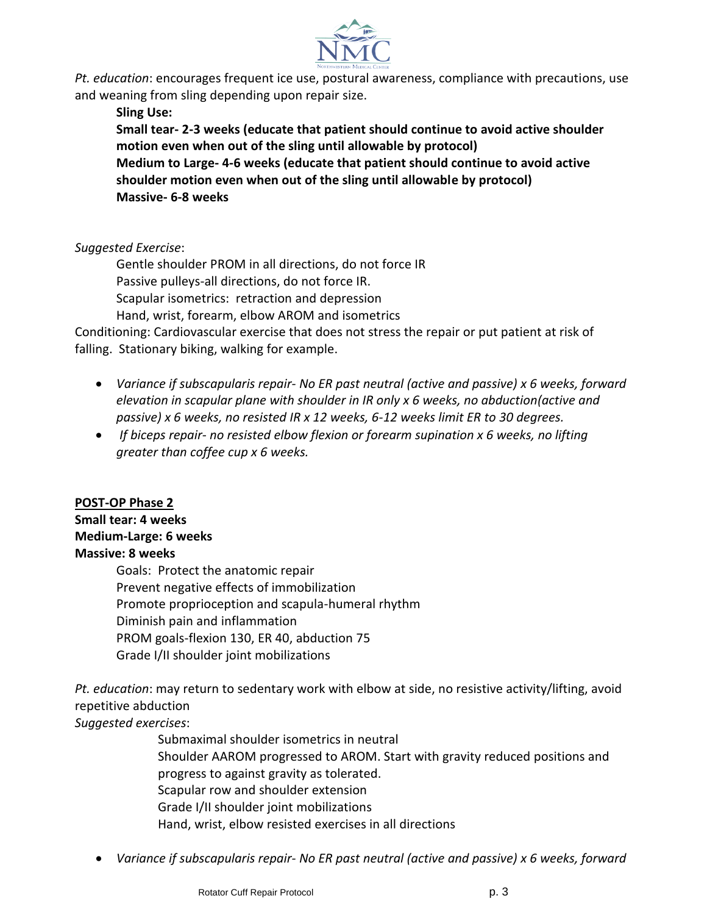

*Pt. education*: encourages frequent ice use, postural awareness, compliance with precautions, use and weaning from sling depending upon repair size.

**Sling Use:**

**Small tear- 2-3 weeks (educate that patient should continue to avoid active shoulder motion even when out of the sling until allowable by protocol) Medium to Large- 4-6 weeks (educate that patient should continue to avoid active shoulder motion even when out of the sling until allowable by protocol) Massive- 6-8 weeks**

*Suggested Exercise*:

Gentle shoulder PROM in all directions, do not force IR Passive pulleys-all directions, do not force IR. Scapular isometrics: retraction and depression Hand, wrist, forearm, elbow AROM and isometrics

Conditioning: Cardiovascular exercise that does not stress the repair or put patient at risk of falling. Stationary biking, walking for example.

- *Variance if subscapularis repair- No ER past neutral (active and passive) x 6 weeks, forward elevation in scapular plane with shoulder in IR only x 6 weeks, no abduction(active and passive) x 6 weeks, no resisted IR x 12 weeks, 6-12 weeks limit ER to 30 degrees.*
- *If biceps repair- no resisted elbow flexion or forearm supination x 6 weeks, no lifting greater than coffee cup x 6 weeks.*

## **POST-OP Phase 2**

## **Small tear: 4 weeks**

## **Medium-Large: 6 weeks**

## **Massive: 8 weeks**

Goals: Protect the anatomic repair Prevent negative effects of immobilization Promote proprioception and scapula-humeral rhythm Diminish pain and inflammation PROM goals-flexion 130, ER 40, abduction 75 Grade I/II shoulder joint mobilizations

*Pt. education*: may return to sedentary work with elbow at side, no resistive activity/lifting, avoid repetitive abduction *Suggested exercises*:

> Submaximal shoulder isometrics in neutral Shoulder AAROM progressed to AROM. Start with gravity reduced positions and progress to against gravity as tolerated. Scapular row and shoulder extension Grade I/II shoulder joint mobilizations Hand, wrist, elbow resisted exercises in all directions

*Variance if subscapularis repair- No ER past neutral (active and passive) x 6 weeks, forward*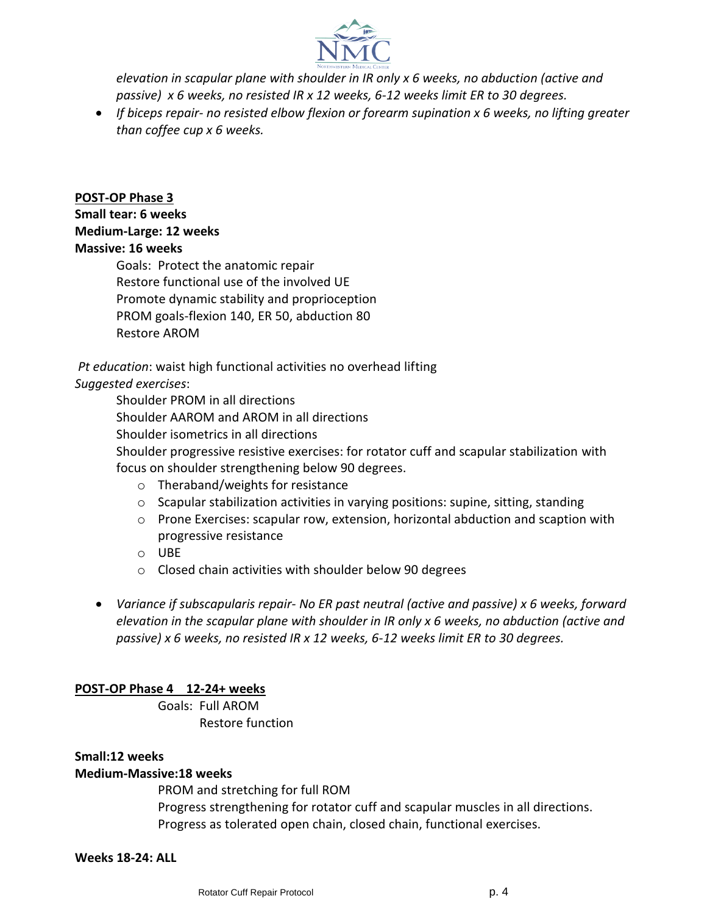

*elevation in scapular plane with shoulder in IR only x 6 weeks, no abduction (active and passive) x 6 weeks, no resisted IR x 12 weeks, 6-12 weeks limit ER to 30 degrees.* 

 *If biceps repair- no resisted elbow flexion or forearm supination x 6 weeks, no lifting greater than coffee cup x 6 weeks.*

## **POST-OP Phase 3**

## **Small tear: 6 weeks**

#### **Medium-Large: 12 weeks**

#### **Massive: 16 weeks**

Goals: Protect the anatomic repair Restore functional use of the involved UE Promote dynamic stability and proprioception PROM goals-flexion 140, ER 50, abduction 80 Restore AROM

*Pt education*: waist high functional activities no overhead lifting *Suggested exercises*:

Shoulder PROM in all directions

Shoulder AAROM and AROM in all directions

Shoulder isometrics in all directions

Shoulder progressive resistive exercises: for rotator cuff and scapular stabilization with focus on shoulder strengthening below 90 degrees.

- o Theraband/weights for resistance
- $\circ$  Scapular stabilization activities in varying positions: supine, sitting, standing
- o Prone Exercises: scapular row, extension, horizontal abduction and scaption with progressive resistance
- o UBE
- o Closed chain activities with shoulder below 90 degrees
- *Variance if subscapularis repair- No ER past neutral (active and passive) x 6 weeks, forward elevation in the scapular plane with shoulder in IR only x 6 weeks, no abduction (active and passive) x 6 weeks, no resisted IR x 12 weeks, 6-12 weeks limit ER to 30 degrees.*

## **POST-OP Phase 4 12-24+ weeks**

Goals: Full AROM Restore function

## **Small:12 weeks**

## **Medium-Massive:18 weeks**

PROM and stretching for full ROM Progress strengthening for rotator cuff and scapular muscles in all directions. Progress as tolerated open chain, closed chain, functional exercises.

#### **Weeks 18-24: ALL**